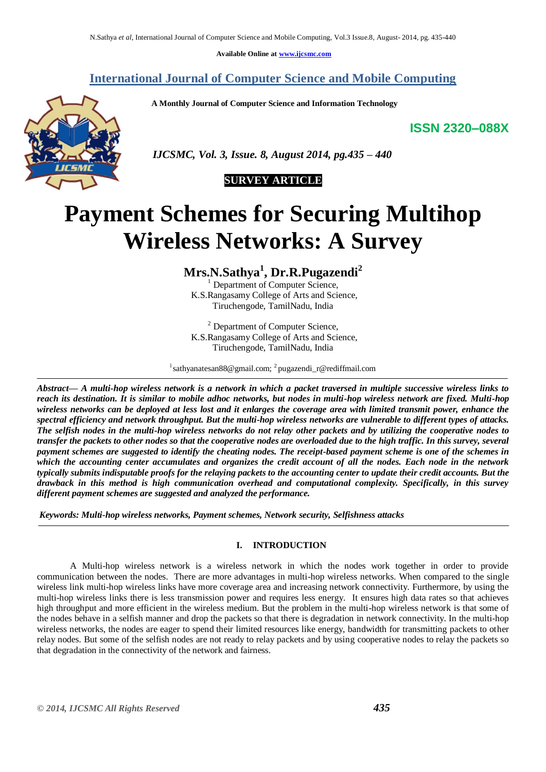**Available Online at [www.ijcsmc.com](http://www.ijcsmc.com/)**

## **International Journal of Computer Science and Mobile Computing**

 **A Monthly Journal of Computer Science and Information Technology**

**ISSN 2320–088X**



 *IJCSMC, Vol. 3, Issue. 8, August 2014, pg.435 – 440*



# **Payment Schemes for Securing Multihop Wireless Networks: A Survey**

**Mrs.N.Sathya<sup>1</sup> , Dr.R.Pugazendi<sup>2</sup>**

Department of Computer Science, K.S.Rangasamy College of Arts and Science, Tiruchengode, TamilNadu, India

<sup>2</sup> Department of Computer Science, K.S.Rangasamy College of Arts and Science, Tiruchengode, TamilNadu, India

<sup>1</sup>sathyanatesan88@gmail.com; <sup>2</sup> pugazendi\_r@rediffmail.com

*Abstract— A multi-hop wireless network is a network in which a packet traversed in multiple successive wireless links to reach its destination. It is similar to mobile adhoc networks, but nodes in multi-hop wireless network are fixed. Multi-hop wireless networks can be deployed at less lost and it enlarges the coverage area with limited transmit power, enhance the spectral efficiency and network throughput. But the multi-hop wireless networks are vulnerable to different types of attacks. The selfish nodes in the multi-hop wireless networks do not relay other packets and by utilizing the cooperative nodes to transfer the packets to other nodes so that the cooperative nodes are overloaded due to the high traffic. In this survey, several payment schemes are suggested to identify the cheating nodes. The receipt-based payment scheme is one of the schemes in which the accounting center accumulates and organizes the credit account of all the nodes. Each node in the network typically submits indisputable proofs for the relaying packets to the accounting center to update their credit accounts. But the drawback in this method is high communication overhead and computational complexity. Specifically, in this survey different payment schemes are suggested and analyzed the performance.* 

*Keywords: Multi-hop wireless networks, Payment schemes, Network security, Selfishness attacks*

#### **I. INTRODUCTION**

A Multi-hop wireless network is a wireless network in which the nodes work together in order to provide communication between the nodes. There are more advantages in multi-hop wireless networks. When compared to the single wireless link multi-hop wireless links have more coverage area and increasing network connectivity. Furthermore, by using the multi-hop wireless links there is less transmission power and requires less energy. It ensures high data rates so that achieves high throughput and more efficient in the wireless medium. But the problem in the multi-hop wireless network is that some of the nodes behave in a selfish manner and drop the packets so that there is degradation in network connectivity. In the multi-hop wireless networks, the nodes are eager to spend their limited resources like energy, bandwidth for transmitting packets to other relay nodes. But some of the selfish nodes are not ready to relay packets and by using cooperative nodes to relay the packets so that degradation in the connectivity of the network and fairness.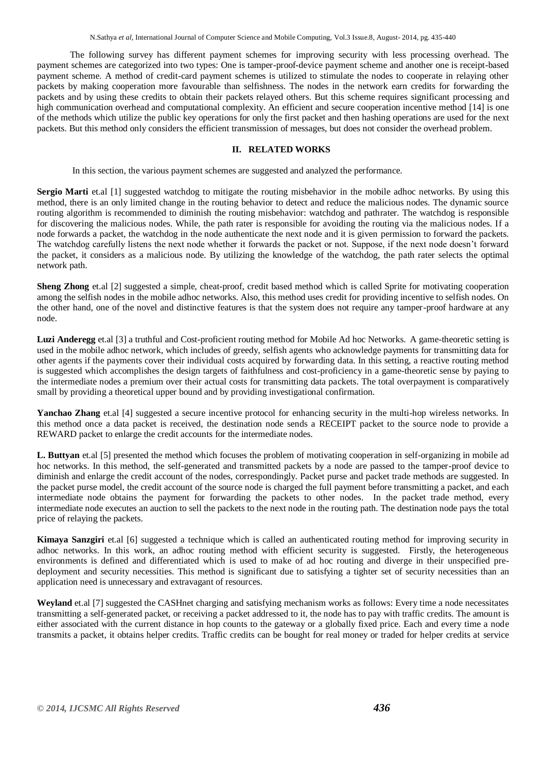The following survey has different payment schemes for improving security with less processing overhead. The payment schemes are categorized into two types: One is tamper-proof-device payment scheme and another one is receipt-based payment scheme. A method of credit-card payment schemes is utilized to stimulate the nodes to cooperate in relaying other packets by making cooperation more favourable than selfishness. The nodes in the network earn credits for forwarding the packets and by using these credits to obtain their packets relayed others. But this scheme requires significant processing and high communication overhead and computational complexity. An efficient and secure cooperation incentive method [14] is one of the methods which utilize the public key operations for only the first packet and then hashing operations are used for the next packets. But this method only considers the efficient transmission of messages, but does not consider the overhead problem.

### **II. RELATED WORKS**

In this section, the various payment schemes are suggested and analyzed the performance.

**Sergio Marti** et.al [1] suggested watchdog to mitigate the routing misbehavior in the mobile adhoc networks. By using this method, there is an only limited change in the routing behavior to detect and reduce the malicious nodes. The dynamic source routing algorithm is recommended to diminish the routing misbehavior: watchdog and pathrater. The watchdog is responsible for discovering the malicious nodes. While, the path rater is responsible for avoiding the routing via the malicious nodes. If a node forwards a packet, the watchdog in the node authenticate the next node and it is given permission to forward the packets. The watchdog carefully listens the next node whether it forwards the packet or not. Suppose, if the next node doesn't forward the packet, it considers as a malicious node. By utilizing the knowledge of the watchdog, the path rater selects the optimal network path.

**Sheng Zhong** et.al [2] suggested a simple, cheat-proof, credit based method which is called Sprite for motivating cooperation among the selfish nodes in the mobile adhoc networks. Also, this method uses credit for providing incentive to selfish nodes. On the other hand, one of the novel and distinctive features is that the system does not require any tamper-proof hardware at any node.

**Luzi Anderegg** et.al [3] a truthful and Cost-proficient routing method for Mobile Ad hoc Networks. A game-theoretic setting is used in the mobile adhoc network, which includes of greedy, selfish agents who acknowledge payments for transmitting data for other agents if the payments cover their individual costs acquired by forwarding data. In this setting, a reactive routing method is suggested which accomplishes the design targets of faithfulness and cost-proficiency in a game-theoretic sense by paying to the intermediate nodes a premium over their actual costs for transmitting data packets. The total overpayment is comparatively small by providing a theoretical upper bound and by providing investigational confirmation.

**Yanchao Zhang** et.al [4] suggested a secure incentive protocol for enhancing security in the multi-hop wireless networks. In this method once a data packet is received, the destination node sends a RECEIPT packet to the source node to provide a REWARD packet to enlarge the credit accounts for the intermediate nodes.

**L. Buttyan** et.al [5] presented the method which focuses the problem of motivating cooperation in self-organizing in mobile ad hoc networks. In this method, the self-generated and transmitted packets by a node are passed to the tamper-proof device to diminish and enlarge the credit account of the nodes, correspondingly. Packet purse and packet trade methods are suggested. In the packet purse model, the credit account of the source node is charged the full payment before transmitting a packet, and each intermediate node obtains the payment for forwarding the packets to other nodes. In the packet trade method, every intermediate node executes an auction to sell the packets to the next node in the routing path. The destination node pays the total price of relaying the packets.

**Kimaya Sanzgiri** et.al [6] suggested a technique which is called an authenticated routing method for improving security in adhoc networks. In this work, an adhoc routing method with efficient security is suggested. Firstly, the heterogeneous environments is defined and differentiated which is used to make of ad hoc routing and diverge in their unspecified predeployment and security necessities. This method is significant due to satisfying a tighter set of security necessities than an application need is unnecessary and extravagant of resources.

**Weyland** et.al [7] suggested the CASHnet charging and satisfying mechanism works as follows: Every time a node necessitates transmitting a self-generated packet, or receiving a packet addressed to it, the node has to pay with traffic credits. The amount is either associated with the current distance in hop counts to the gateway or a globally fixed price. Each and every time a node transmits a packet, it obtains helper credits. Traffic credits can be bought for real money or traded for helper credits at service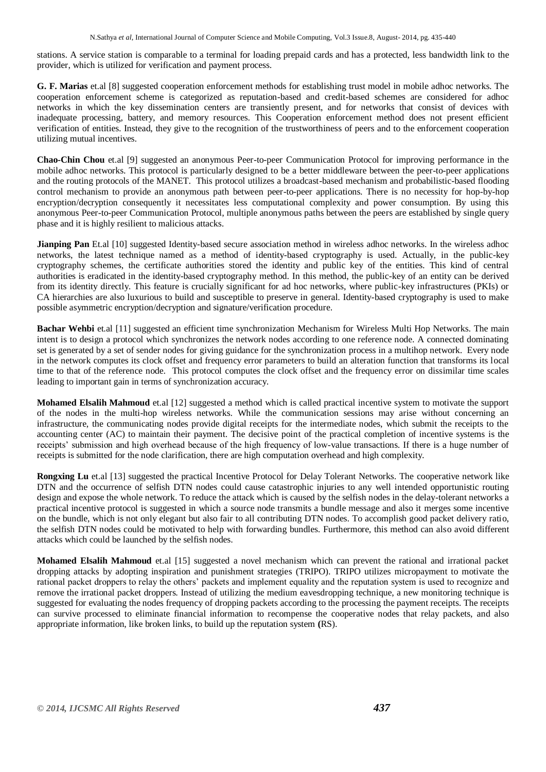stations. A service station is comparable to a terminal for loading prepaid cards and has a protected, less bandwidth link to the provider, which is utilized for verification and payment process.

**G. F. Marias** et.al [8] suggested cooperation enforcement methods for establishing trust model in mobile adhoc networks. The cooperation enforcement scheme is categorized as reputation-based and credit-based schemes are considered for adhoc networks in which the key dissemination centers are transiently present, and for networks that consist of devices with inadequate processing, battery, and memory resources. This Cooperation enforcement method does not present efficient verification of entities. Instead, they give to the recognition of the trustworthiness of peers and to the enforcement cooperation utilizing mutual incentives.

**Chao-Chin Chou** et.al [9] suggested an anonymous Peer-to-peer Communication Protocol for improving performance in the mobile adhoc networks. This protocol is particularly designed to be a better middleware between the peer-to-peer applications and the routing protocols of the MANET. This protocol utilizes a broadcast-based mechanism and probabilistic-based flooding control mechanism to provide an anonymous path between peer-to-peer applications. There is no necessity for hop-by-hop encryption/decryption consequently it necessitates less computational complexity and power consumption. By using this anonymous Peer-to-peer Communication Protocol, multiple anonymous paths between the peers are established by single query phase and it is highly resilient to malicious attacks.

**Jianping Pan** Et.al [10] suggested Identity-based secure association method in wireless adhoc networks. In the wireless adhoc networks, the latest technique named as a method of identity-based cryptography is used. Actually, in the public-key cryptography schemes, the certificate authorities stored the identity and public key of the entities. This kind of central authorities is eradicated in the identity-based cryptography method. In this method, the public-key of an entity can be derived from its identity directly. This feature is crucially significant for ad hoc networks, where public-key infrastructures (PKIs) or CA hierarchies are also luxurious to build and susceptible to preserve in general. Identity-based cryptography is used to make possible asymmetric encryption/decryption and signature/verification procedure.

**Bachar Wehbi** et.al [11] suggested an efficient time synchronization Mechanism for Wireless Multi Hop Networks. The main intent is to design a protocol which synchronizes the network nodes according to one reference node. A connected dominating set is generated by a set of sender nodes for giving guidance for the synchronization process in a multihop network. Every node in the network computes its clock offset and frequency error parameters to build an alteration function that transforms its local time to that of the reference node. This protocol computes the clock offset and the frequency error on dissimilar time scales leading to important gain in terms of synchronization accuracy.

**Mohamed Elsalih Mahmoud** et.al [12] suggested a method which is called practical incentive system to motivate the support of the nodes in the multi-hop wireless networks. While the communication sessions may arise without concerning an infrastructure, the communicating nodes provide digital receipts for the intermediate nodes, which submit the receipts to the accounting center (AC) to maintain their payment. The decisive point of the practical completion of incentive systems is the receipts' submission and high overhead because of the high frequency of low-value transactions. If there is a huge number of receipts is submitted for the node clarification, there are high computation overhead and high complexity.

**Rongxing Lu** et.al [13] suggested the practical Incentive Protocol for Delay Tolerant Networks. The cooperative network like DTN and the occurrence of selfish DTN nodes could cause catastrophic injuries to any well intended opportunistic routing design and expose the whole network. To reduce the attack which is caused by the selfish nodes in the delay-tolerant networks a practical incentive protocol is suggested in which a source node transmits a bundle message and also it merges some incentive on the bundle, which is not only elegant but also fair to all contributing DTN nodes. To accomplish good packet delivery ratio, the selfish DTN nodes could be motivated to help with forwarding bundles. Furthermore, this method can also avoid different attacks which could be launched by the selfish nodes.

**Mohamed Elsalih Mahmoud** et.al [15] suggested a novel mechanism which can prevent the rational and irrational packet dropping attacks by adopting inspiration and punishment strategies (TRIPO). TRIPO utilizes micropayment to motivate the rational packet droppers to relay the others' packets and implement equality and the reputation system is used to recognize and remove the irrational packet droppers. Instead of utilizing the medium eavesdropping technique, a new monitoring technique is suggested for evaluating the nodes frequency of dropping packets according to the processing the payment receipts. The receipts can survive processed to eliminate financial information to recompense the cooperative nodes that relay packets, and also appropriate information, like broken links, to build up the reputation system **(**RS).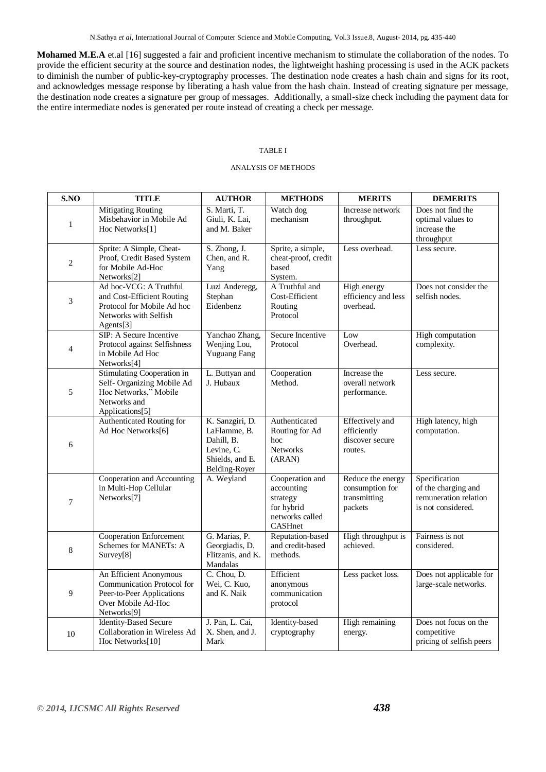N.Sathya *et al*, International Journal of Computer Science and Mobile Computing, Vol.3 Issue.8, August- 2014, pg. 435-440

**Mohamed M.E.A** et.al [16] suggested a fair and proficient incentive mechanism to stimulate the collaboration of the nodes. To provide the efficient security at the source and destination nodes, the lightweight hashing processing is used in the ACK packets to diminish the number of public-key-cryptography processes. The destination node creates a hash chain and signs for its root, and acknowledges message response by liberating a hash value from the hash chain. Instead of creating signature per message, the destination node creates a signature per group of messages. Additionally, a small-size check including the payment data for the entire intermediate nodes is generated per route instead of creating a check per message.

#### TABLE I

#### ANALYSIS OF METHODS

| S.NO           | <b>TITLE</b>                                                                                                             | <b>AUTHOR</b>                                                                                   | <b>METHODS</b>                                                                        | <b>MERITS</b>                                                       | <b>DEMERITS</b>                                                                     |
|----------------|--------------------------------------------------------------------------------------------------------------------------|-------------------------------------------------------------------------------------------------|---------------------------------------------------------------------------------------|---------------------------------------------------------------------|-------------------------------------------------------------------------------------|
| $\mathbf{1}$   | <b>Mitigating Routing</b><br>Misbehavior in Mobile Ad<br>Hoc Networks[1]                                                 | S. Marti, T.<br>Giuli, K. Lai,<br>and M. Baker                                                  | Watch dog<br>mechanism                                                                | Increase network<br>throughput.                                     | Does not find the<br>optimal values to<br>increase the<br>throughput                |
| $\overline{c}$ | Sprite: A Simple, Cheat-<br>Proof, Credit Based System<br>for Mobile Ad-Hoc<br>Networks[2]                               | S. Zhong, J.<br>Chen, and R.<br>Yang                                                            | Sprite, a simple,<br>cheat-proof, credit<br>based<br>System.                          | Less overhead.                                                      | Less secure.                                                                        |
| 3              | Ad hoc-VCG: A Truthful<br>and Cost-Efficient Routing<br>Protocol for Mobile Ad hoc<br>Networks with Selfish<br>Agents[3] | Luzi Anderegg,<br>Stephan<br>Eidenbenz                                                          | A Truthful and<br>Cost-Efficient<br>Routing<br>Protocol                               | High energy<br>efficiency and less<br>overhead.                     | Does not consider the<br>selfish nodes.                                             |
| $\overline{4}$ | SIP: A Secure Incentive<br>Protocol against Selfishness<br>in Mobile Ad Hoc<br>Networks <sup>[4]</sup>                   | Yanchao Zhang,<br>Wenjing Lou,<br><b>Yuguang Fang</b>                                           | Secure Incentive<br>Protocol                                                          | Low<br>Overhead.                                                    | <b>High computation</b><br>complexity.                                              |
| 5              | Stimulating Cooperation in<br>Self- Organizing Mobile Ad<br>Hoc Networks," Mobile<br>Networks and<br>Applications[5]     | L. Buttyan and<br>J. Hubaux                                                                     | Cooperation<br>Method.                                                                | Increase the<br>overall network<br>performance.                     | Less secure.                                                                        |
| 6              | Authenticated Routing for<br>Ad Hoc Networks[6]                                                                          | K. Sanzgiri, D.<br>LaFlamme, B.<br>Dahill, B.<br>Levine, C.<br>Shields, and E.<br>Belding-Royer | Authenticated<br>Routing for Ad<br>hoc<br><b>Networks</b><br>(ARAN)                   | <b>Effectively</b> and<br>efficiently<br>discover secure<br>routes. | High latency, high<br>computation.                                                  |
| 7              | Cooperation and Accounting<br>in Multi-Hop Cellular<br>Networks[7]                                                       | A. Weyland                                                                                      | Cooperation and<br>accounting<br>strategy<br>for hybrid<br>networks called<br>CASHnet | Reduce the energy<br>consumption for<br>transmitting<br>packets     | Specification<br>of the charging and<br>remuneration relation<br>is not considered. |
| 8              | <b>Cooperation Enforcement</b><br>Schemes for MANETs: A<br>Survey[8]                                                     | G. Marias, P.<br>Georgiadis, D.<br>Flitzanis, and K.<br>Mandalas                                | Reputation-based<br>and credit-based<br>methods.                                      | High throughput is<br>achieved.                                     | Fairness is not<br>considered.                                                      |
| 9              | An Efficient Anonymous<br>Communication Protocol for<br>Peer-to-Peer Applications<br>Over Mobile Ad-Hoc<br>Networks[9]   | C. Chou, D.<br>Wei, C. Kuo,<br>and K. Naik                                                      | Efficient<br>anonymous<br>communication<br>protocol                                   | Less packet loss.                                                   | Does not applicable for<br>large-scale networks.                                    |
| 10             | <b>Identity-Based Secure</b><br>Collaboration in Wireless Ad<br>Hoc Networks[10]                                         | J. Pan, L. Cai,<br>X. Shen, and J.<br>Mark                                                      | Identity-based<br>cryptography                                                        | High remaining<br>energy.                                           | Does not focus on the<br>competitive<br>pricing of selfish peers                    |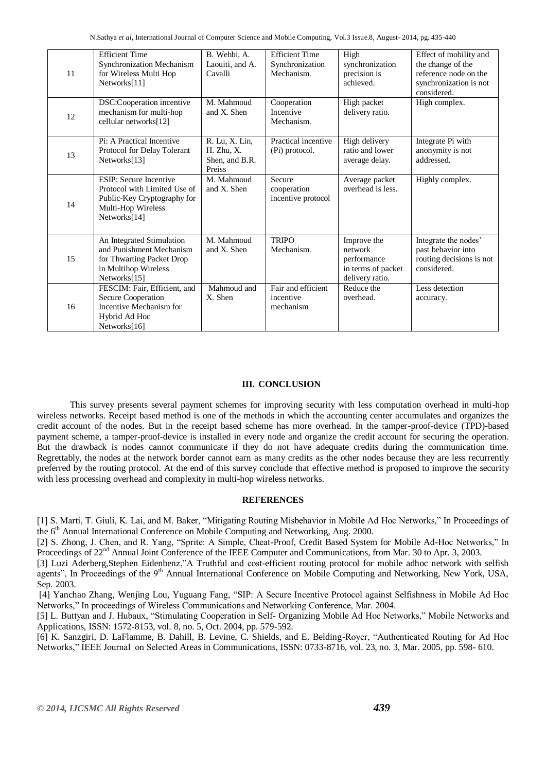|    | <b>Efficient Time</b>                         | B. Wehbi, A.    | <b>Efficient Time</b>  | High               | Effect of mobility and   |
|----|-----------------------------------------------|-----------------|------------------------|--------------------|--------------------------|
|    | Synchronization Mechanism                     | Laouiti, and A. | Synchronization        | synchronization    | the change of the        |
| 11 | for Wireless Multi Hop                        | Cavalli         | Mechanism.             | precision is       | reference node on the    |
|    | Networks[11]                                  |                 |                        | achieved.          | synchronization is not   |
|    |                                               |                 |                        |                    | considered.              |
| 12 | DSC:Cooperation incentive                     | M. Mahmoud      | Cooperation            | High packet        | High complex.            |
|    | mechanism for multi-hop                       | and X. Shen     | Incentive              | delivery ratio.    |                          |
|    | cellular networks[12]                         |                 | Mechanism.             |                    |                          |
|    |                                               |                 |                        |                    |                          |
| 13 | Pi: A Practical Incentive                     | R. Lu, X. Lin,  | Practical incentive    | High delivery      | Integrate Pi with        |
|    | Protocol for Delay Tolerant                   | H. Zhu, X.      | (Pi) protocol.         | ratio and lower    | anonymity is not         |
|    | Networks[13]                                  | Shen, and B.R.  |                        | average delay.     | addressed.               |
|    |                                               | Preiss          |                        |                    |                          |
|    | <b>ESIP</b> : Secure Incentive                | M. Mahmoud      | Secure                 | Average packet     | Highly complex.          |
| 14 | Protocol with Limited Use of                  | and X. Shen     | cooperation            | overhead is less.  |                          |
|    | Public-Key Cryptography for                   |                 | incentive protocol     |                    |                          |
|    | Multi-Hop Wireless<br>Networks[14]            |                 |                        |                    |                          |
|    |                                               |                 |                        |                    |                          |
|    |                                               |                 |                        |                    |                          |
|    | An Integrated Stimulation                     | M. Mahmoud      | <b>TRIPO</b>           | Improve the        | Integrate the nodes'     |
| 15 | and Punishment Mechanism                      | and X. Shen     | Mechanism.             | network            | past behavior into       |
|    | for Thwarting Packet Drop                     |                 |                        | performance        | routing decisions is not |
|    | in Multihop Wireless                          |                 |                        | in terms of packet | considered.              |
|    | Networks[15]                                  |                 |                        | delivery ratio.    |                          |
| 16 | FESCIM: Fair, Efficient, and                  | Mahmoud and     | Fair and efficient     | Reduce the         | Less detection           |
|    | Secure Cooperation<br>Incentive Mechanism for | X. Shen         | incentive<br>mechanism | overhead.          | accuracy.                |
|    |                                               |                 |                        |                    |                          |
|    | Hybrid Ad Hoc                                 |                 |                        |                    |                          |
|    | Networks[16]                                  |                 |                        |                    |                          |

#### **III. CONCLUSION**

This survey presents several payment schemes for improving security with less computation overhead in multi-hop wireless networks. Receipt based method is one of the methods in which the accounting center accumulates and organizes the credit account of the nodes. But in the receipt based scheme has more overhead. In the tamper-proof-device (TPD)-based payment scheme, a tamper-proof-device is installed in every node and organize the credit account for securing the operation. But the drawback is nodes cannot communicate if they do not have adequate credits during the communication time. Regrettably, the nodes at the network border cannot earn as many credits as the other nodes because they are less recurrently preferred by the routing protocol. At the end of this survey conclude that effective method is proposed to improve the security with less processing overhead and complexity in multi-hop wireless networks.

#### **REFERENCES**

[1] S. Marti, T. Giuli, K. Lai, and M. Baker, "Mitigating Routing Misbehavior in Mobile Ad Hoc Networks," In Proceedings of the 6<sup>th</sup> Annual International Conference on Mobile Computing and Networking, Aug. 2000.

[2] S. Zhong, J. Chen, and R. Yang, "Sprite: A Simple, Cheat-Proof, Credit Based System for Mobile Ad-Hoc Networks," In Proceedings of 22<sup>nd</sup> Annual Joint Conference of the IEEE Computer and Communications, from Mar. 30 to Apr. 3, 2003.

[3] Luzi Aderberg,Stephen Eidenbenz,"A Truthful and cost-efficient routing protocol for mobile adhoc network with selfish agents", In Proceedings of the 9<sup>th</sup> Annual International Conference on Mobile Computing and Networking, New York, USA, Sep. 2003.

[4] Yanchao Zhang, Wenjing Lou, Yuguang Fang, "SIP: A Secure Incentive Protocol against Selfishness in Mobile Ad Hoc Networks," In proceedings of Wireless Communications and Networking Conference, Mar. 2004.

[5] L. Buttyan and J. Hubaux, "Stimulating Cooperation in Self- Organizing Mobile Ad Hoc Networks," Mobile Networks and Applications, ISSN: 1572-8153, vol. 8, no. 5, Oct. 2004, pp. 579-592.

[6] K. Sanzgiri, D. LaFlamme, B. Dahill, B. Levine, C. Shields, and E. Belding-Royer, "Authenticated Routing for Ad Hoc Networks," IEEE Journal on Selected Areas in Communications, ISSN: 0733-8716, vol. 23, no. 3, Mar. 2005, pp. 598- 610.